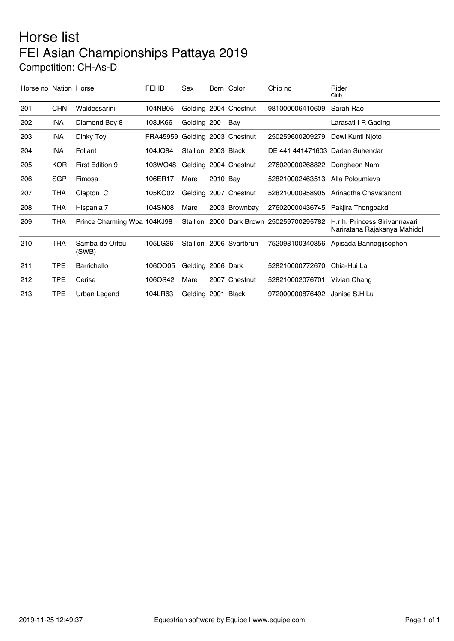## Horse list FEI Asian Championships Pattaya 2019 Competition: CH-As-D

| Horse no Nation Horse |            |                             | FEI ID   | Sex                 |          | Born Color            | Chip no                                  | Rider<br>Club                                                 |
|-----------------------|------------|-----------------------------|----------|---------------------|----------|-----------------------|------------------------------------------|---------------------------------------------------------------|
| 201                   | <b>CHN</b> | Waldessarini                | 104NB05  |                     |          | Gelding 2004 Chestnut | 981000006410609                          | Sarah Rao                                                     |
| 202                   | <b>INA</b> | Diamond Boy 8               | 103JK66  | Gelding 2001 Bay    |          |                       |                                          | Larasati I R Gading                                           |
| 203                   | <b>INA</b> | Dinky Toy                   | FRA45959 |                     |          | Gelding 2003 Chestnut | 250259600209279                          | Dewi Kunti Njoto                                              |
| 204                   | <b>INA</b> | Foliant                     | 104JQ84  | Stallion 2003 Black |          |                       | DE 441 441471603 Dadan Suhendar          |                                                               |
| 205                   | <b>KOR</b> | First Edition 9             | 103WO48  |                     |          | Gelding 2004 Chestnut | 276020000268822                          | Dongheon Nam                                                  |
| 206                   | <b>SGP</b> | Fimosa                      | 106ER17  | Mare                | 2010 Bay |                       | 528210002463513                          | Alla Poloumieva                                               |
| 207                   | <b>THA</b> | Clapton C                   | 105KQ02  |                     |          | Gelding 2007 Chestnut | 528210000958905                          | Arinadtha Chavatanont                                         |
| 208                   | <b>THA</b> | Hispania 7                  | 104SN08  | Mare                |          | 2003 Brownbay         | 276020000436745                          | Pakjira Thongpakdi                                            |
| 209                   | <b>THA</b> | Prince Charming Wpa 104KJ98 |          |                     |          |                       | Stallion 2000 Dark Brown 250259700295782 | H.r.h. Princess Sirivannavari<br>Nariratana Rajakanya Mahidol |
| 210                   | <b>THA</b> | Samba de Orfeu<br>(SWB)     | 105LG36  | Stallion            |          | 2006 Svartbrun        | 752098100340356                          | Apisada Bannagijsophon                                        |
| 211                   | <b>TPE</b> | Barrichello                 | 106QQ05  | Gelding 2006 Dark   |          |                       | 528210000772670                          | Chia-Hui Lai                                                  |
| 212                   | <b>TPE</b> | Cerise                      | 106OS42  | Mare                |          | 2007 Chestnut         | 528210002076701                          | Vivian Chang                                                  |
| 213                   | <b>TPE</b> | Urban Legend                | 104LR63  | Gelding 2001 Black  |          |                       | 972000000876492                          | Janise S.H.Lu                                                 |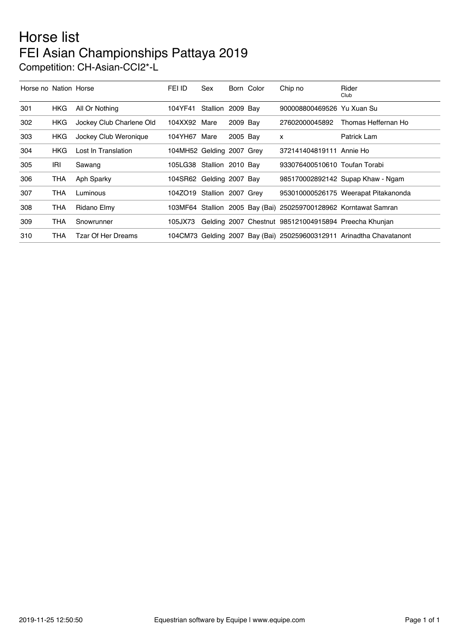## Horse list FEI Asian Championships Pattaya 2019 Competition: CH-Asian-CCI2\*-L

| Horse no Nation Horse |            |                           | FEI ID                     | Sex      |          | Born Color | Chip no                                                          | Rider<br>Club                                                        |
|-----------------------|------------|---------------------------|----------------------------|----------|----------|------------|------------------------------------------------------------------|----------------------------------------------------------------------|
| 301                   | <b>HKG</b> | All Or Nothing            | 104YF41                    | Stallion | 2009 Bay |            | 900008800469526 Yu Xuan Su                                       |                                                                      |
| 302                   | <b>HKG</b> | Jockey Club Charlene Old  | 104XX92 Mare               |          | 2009 Bay |            | 27602000045892                                                   | Thomas Heffernan Ho                                                  |
| 303                   | HKG.       | Jockey Club Weronique     | 104YH67 Mare               |          | 2005 Bay |            | x                                                                | Patrick Lam                                                          |
| 304                   | <b>HKG</b> | Lost In Translation       | 104MH52 Gelding 2007 Grey  |          |          |            | 372141404819111 Annie Ho                                         |                                                                      |
| 305                   | IRI        | Sawang                    | 105LG38 Stallion 2010 Bay  |          |          |            | 933076400510610 Toufan Torabi                                    |                                                                      |
| 306                   | THA        | Aph Sparky                | 104SR62 Gelding 2007 Bay   |          |          |            |                                                                  | 985170002892142 Supap Khaw - Ngam                                    |
| 307                   | <b>THA</b> | Luminous                  | 104ZO19 Stallion 2007 Grev |          |          |            |                                                                  | 953010000526175 Weerapat Pitakanonda                                 |
| 308                   | THA        | Ridano Elmy               |                            |          |          |            | 103MF64 Stallion 2005 Bay (Bai) 250259700128962 Korntawat Samran |                                                                      |
| 309                   | THA        | Snowrunner                | 105JX73                    |          |          |            | Gelding 2007 Chestnut 985121004915894 Preecha Khunjan            |                                                                      |
| 310                   | THA        | <b>Tzar Of Her Dreams</b> |                            |          |          |            |                                                                  | 104CM73 Gelding 2007 Bay (Bai) 250259600312911 Arinadtha Chavatanont |